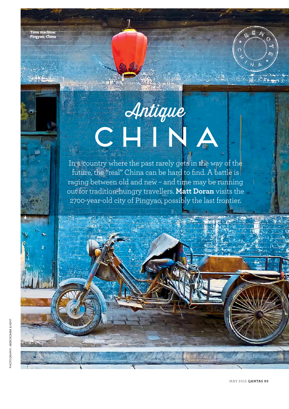**Time machine: Pingyao, China**

Post (1921)

## Antique CHINA

In a country where the past rarely gets in the way of the future, the "real" China can be hard to find. A battle is raging between old and new – and time may be running out for tradition-hungry travellers. **Matt Doran** visits the 2700-year-old city of Pingyao, possibly the last frontier.

MAY 2015 **QANTAS 93**

 $E$   $A_i$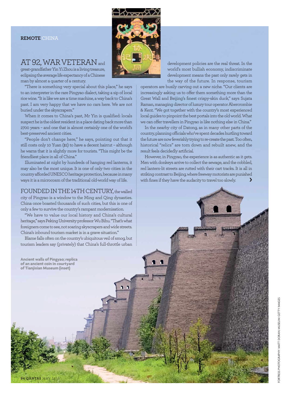## **REMOTE** CHINA

## AT 92, WAR VETERAN and

great-grandfather Yin Yi Zhou is a living treasure, eclipsing the average life expectancy of a Chinese man by almost a quarter of a century.

"There is something very special about this place,'' he says to an interpreter in the rare Pingyao dialect, taking a sip of local rice wine. "It is like we are a time machine, a way back to China's past. I am very happy that we have no cars here. We are not buried under the skyscrapers."

When it comes to China's past, Mr Yin is qualified: locals suspect he is the oldest resident in a place dating back more than 2700 years – and one that is almost certainly one of the world's best-preserved ancient cities.

"People don't change here,'' he says, pointing out that it still costs only 10 Yuan (\$2) to have a decent haircut – although he warns that it is slightly more for tourists. "This might be the friendliest place in all of China."

Illuminated at night by hundreds of hanging red lanterns, it may also be the most unique. It is one of only two cities in the country afforded UNESCO heritage protection, because in many ways it is a microcosm of the traditional old-world way of life.

FOUNDED IN THE 14TH CENTURY, the walled city of Pingyao is a window to the Ming and Qing dynasties. China once boasted thousands of such cities, but this is one of only a few to survive the country's rampant modernisation.

"We have to value our local history and China's cultural heritage,'' says Peking University professor Wu Bihu. "That's what foreigners come to see, not soaring skyscrapers and wide streets. China's inbound tourism market is in a grave situation."

Blame falls often on the country's ubiquitous veil of smog, but tourism leaders say (privately) that China's full-throttle urban

**Ancient walls of Pingyao; replica of an ancient coin in courtyard of Tianjixian Museum (inset)**



development policies are the real threat. In the world's most bullish economy, indiscriminate development means the past only rarely gets in the way of the future. In response, tourism

operators are busily carving out a new niche. "Our clients are increasingly asking us to offer them something more than the Great Wall and Beijing's finest crispy-skin duck," says Sujata Raman, managing director of luxury tour operator Abercrombie & Kent. "We got together with the country's most experienced local guides to pinpoint the best portals into the old world. What we can offer travellers in Pingyao is like nothing else in China."

In the nearby city of Datong, as in many other parts of the country, planning officials who've spent decades hurtling toward the future are now feverishly trying to re-create the past. Too often, historical "relics" are torn down and rebuilt anew, and the result feels decidedly artificial.

However, in Pingyao, the experience is as authentic as it gets. Men with donkeys arrive to collect the sewage, and the cobbled, red lantern-lit streets are rutted with their cart tracks. It is all in striking contrast to Beijing, where freeway motorists are punished with fines if they have the audacity to travel too slowly.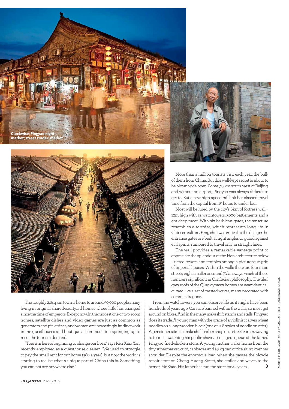



The roughly 2.6sq km town is home to around 50,000 people, many living in original shared-courtyard homes where little has changed since the time of emperors. Except now, in the modest one or two-room homes, satellite dishes and video games are just as common as generators and pit latrines, and women are increasingly finding work in the guesthouses and boutique accommodation springing up to meet the tourism demand.

"Tourism here is beginning to change our lives,'' says Ren Xiao Yan, recently employed as a guesthouse cleaner. "We used to struggle to pay the small rent for our home (\$80 a year), but now the world is starting to realise what a unique part of China this is. Something you can not see anywhere else."



More than a million tourists visit each year, the bulk of them from China. But this well-kept secret is about to be blown wide open. Some 715km south-west of Beijing, and without an airport, Pingyao was always difficult to get to. But a new high-speed rail link has slashed travel time from the capital from 15 hours to under four.

Most will be lured by the city's 6km of fortress wall – 12m high with 72 watchtowers, 3000 battlements and a 4m-deep moat. With six barbican gates, the structure resembles a tortoise, which represents long life in Chinese culture. Feng shui was critical to the design: the entrance gates are built at right angles to guard against evil spirits, rumoured to travel only in straight lines.

The wall provides a remarkable vantage point to appreciate the splendour of the Han architecture below – tiered towers and temples among a picturesque grid of imperial houses. Within the walls there are four main streets, eight smaller ones and 72 laneways – each of those numbers significant in Confucian philosophy. The tiled grey roofs of the Qing dynasty homes are near identical, curved like a set of crested waves, many decorated with ceramic dragons.

From the watchtowers you can observe life as it might have been hundreds of years ago. Cars are banned within the walls, so most get around on bikes. And in the many makeshift stands and stalls, Pingyao does its trade. A young man with the grace of a violinist carves wheat noodles on a long wooden block (one of 108 styles of noodle on offer). A pensioner sits at a makeshift barber shop on a street corner, waving to tourists watching his public shave. Teenagers queue at the famed Pingyao fried-chicken store. A young mother walks home from the tiny supermarket, curd, cabbages and a 5kg bag of rice slung over her shoulder. Despite the enormous load, when she passes the bicycle repair store on Cheng Huang Street, she smiles and waves to the owner, Mr Shao. His father has run the store for 42 years.  $\bullet$